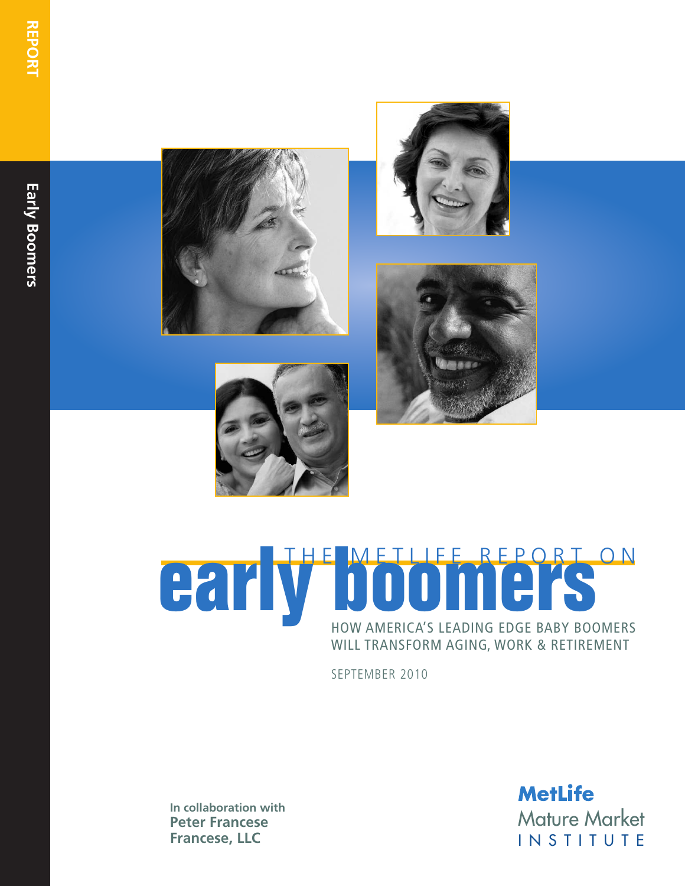







## HOW AMERICA'S LEADING EDGE BABY BOOMERS WILL TRANSFORM AGING, WORK & RETIREMENT **early be METHEREPORT ON**

SEPTEMBER 2010

**In collaboration with Peter Francese Francese, LLC**

**MetLife**<br>Mature Market<br>I N S T I T U T E **MetLife**<br>Mature Market<br>I N S T I T U T E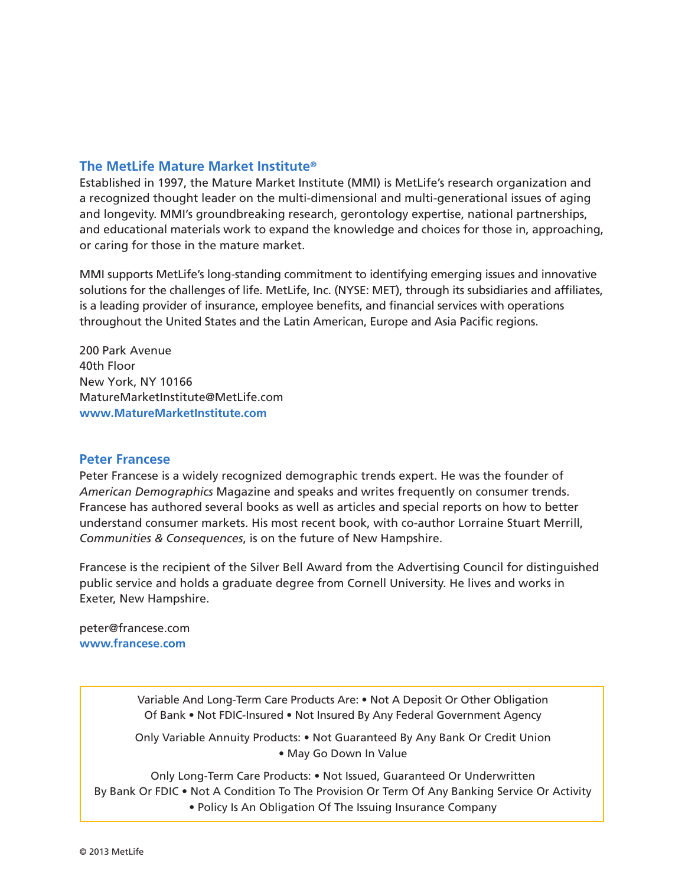#### **The MetLife Mature Market Institute®**

Established in 1997, the Mature Market Institute (MMI) is MetLife's research organization and a recognized thought leader on the multi-dimensional and multi-generational issues of aging and longevity. MMI's groundbreaking research, gerontology expertise, national partnerships, and educational materials work to expand the knowledge and choices for those in, approaching, or caring for those in the mature market.

MMI supports MetLife's long-standing commitment to identifying emerging issues and innovative solutions for the challenges of life. MetLife, Inc. (NYSE: MET), through its subsidiaries and affiliates, is a leading provider of insurance, employee benefits, and financial services with operations throughout the United States and the Latin American, Europe and Asia Pacific regions.

200 Park Avenue 40th Floor New York, NY 10166 MatureMarketInstitute@MetLife.com **www.MatureMarketInstitute.com**

#### **Peter Francese**

Peter Francese is a widely recognized demographic trends expert. He was the founder of *American Demographics* Magazine and speaks and writes frequently on consumer trends. Francese has authored several books as well as articles and special reports on how to better understand consumer markets. His most recent book, with co-author Lorraine Stuart Merrill, *Communities & Consequences*, is on the future of New Hampshire.

Francese is the recipient of the Silver Bell Award from the Advertising Council for distinguished public service and holds a graduate degree from Cornell University. He lives and works in Exeter, New Hampshire.

peter@francese.com **www.francese.com**

> Variable And Long-Term Care Products Are: • Not A Deposit Or Other Obligation Of Bank • Not FDIC-Insured • Not Insured By Any Federal Government Agency

> Only Variable Annuity Products: • Not Guaranteed By Any Bank Or Credit Union • May Go Down In Value

Only Long-Term Care Products: • Not Issued, Guaranteed Or Underwritten By Bank Or FDIC • Not A Condition To The Provision Or Term Of Any Banking Service Or Activity • Policy Is An Obligation Of The Issuing Insurance Company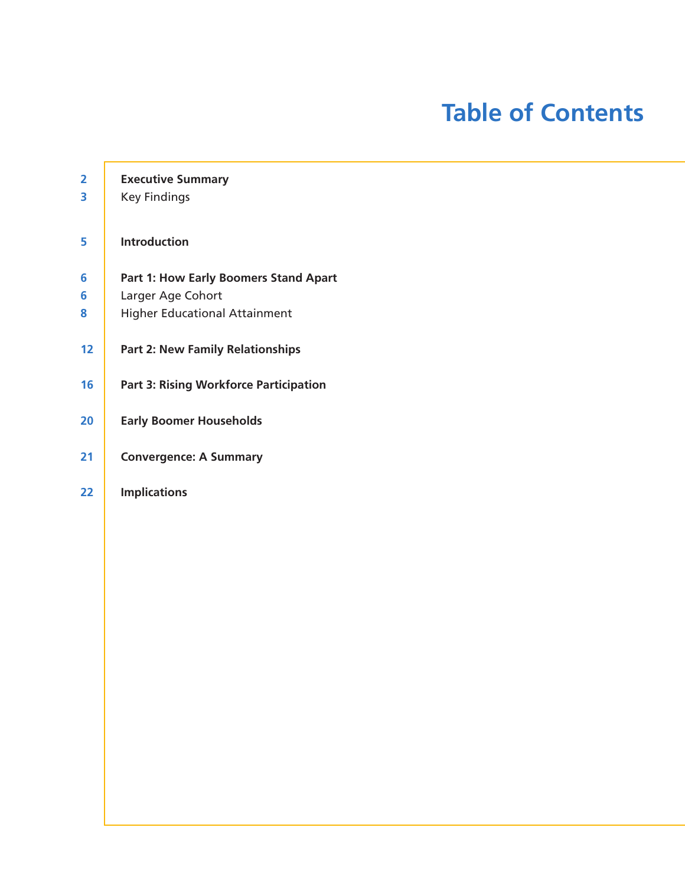## **Table of Contents**

| $\overline{\mathbf{2}}$ | <b>Executive Summary</b>                      |
|-------------------------|-----------------------------------------------|
| 3                       | <b>Key Findings</b>                           |
| 5                       | <b>Introduction</b>                           |
| 6                       | Part 1: How Early Boomers Stand Apart         |
| 6                       | Larger Age Cohort                             |
| 8                       | <b>Higher Educational Attainment</b>          |
| 12                      | <b>Part 2: New Family Relationships</b>       |
| 16                      | <b>Part 3: Rising Workforce Participation</b> |
| 20                      | <b>Early Boomer Households</b>                |
| 21                      | <b>Convergence: A Summary</b>                 |
| 22                      | <b>Implications</b>                           |
|                         |                                               |
|                         |                                               |
|                         |                                               |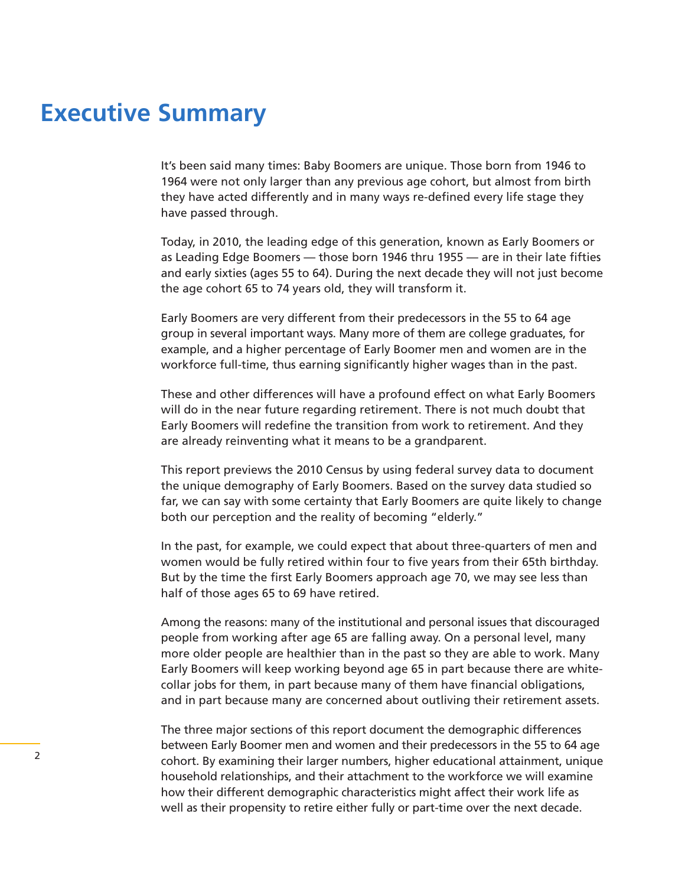## **Executive Summary**

It's been said many times: Baby Boomers are unique. Those born from 1946 to 1964 were not only larger than any previous age cohort, but almost from birth they have acted differently and in many ways re-defined every life stage they have passed through.

Today, in 2010, the leading edge of this generation, known as Early Boomers or as Leading Edge Boomers — those born 1946 thru 1955 — are in their late fifties and early sixties (ages 55 to 64). During the next decade they will not just become the age cohort 65 to 74 years old, they will transform it.

Early Boomers are very different from their predecessors in the 55 to 64 age group in several important ways. Many more of them are college graduates, for example, and a higher percentage of Early Boomer men and women are in the workforce full-time, thus earning significantly higher wages than in the past.

These and other differences will have a profound effect on what Early Boomers will do in the near future regarding retirement. There is not much doubt that Early Boomers will redefine the transition from work to retirement. And they are already reinventing what it means to be a grandparent.

This report previews the 2010 Census by using federal survey data to document the unique demography of Early Boomers. Based on the survey data studied so far, we can say with some certainty that Early Boomers are quite likely to change both our perception and the reality of becoming "elderly."

In the past, for example, we could expect that about three-quarters of men and women would be fully retired within four to five years from their 65th birthday. But by the time the first Early Boomers approach age 70, we may see less than half of those ages 65 to 69 have retired.

Among the reasons: many of the institutional and personal issues that discouraged people from working after age 65 are falling away. On a personal level, many more older people are healthier than in the past so they are able to work. Many Early Boomers will keep working beyond age 65 in part because there are whitecollar jobs for them, in part because many of them have financial obligations, and in part because many are concerned about outliving their retirement assets.

The three major sections of this report document the demographic differences between Early Boomer men and women and their predecessors in the 55 to 64 age cohort. By examining their larger numbers, higher educational attainment, unique household relationships, and their attachment to the workforce we will examine how their different demographic characteristics might affect their work life as well as their propensity to retire either fully or part-time over the next decade.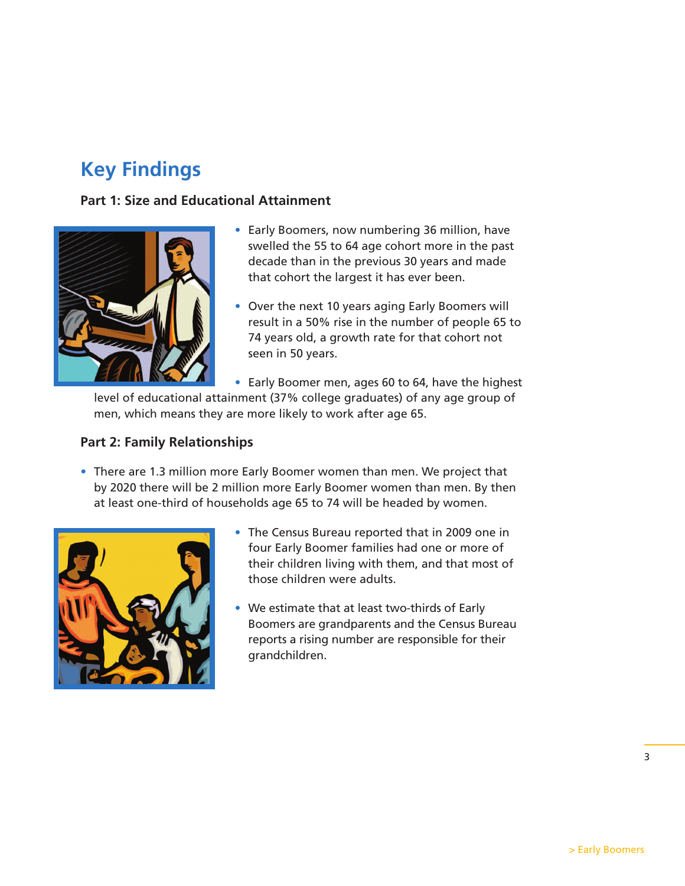## **Key Findings**

#### **Part 1: Size and Educational Attainment**



- **•** Early Boomers, now numbering 36 million, have swelled the 55 to 64 age cohort more in the past decade than in the previous 30 years and made that cohort the largest it has ever been.
- **•** Over the next 10 years aging Early Boomers will result in a 50% rise in the number of people 65 to 74 years old, a growth rate for that cohort not seen in 50 years.

**•** Early Boomer men, ages 60 to 64, have the highest level of educational attainment (37% college graduates) of any age group of men, which means they are more likely to work after age 65.

#### **Part 2: Family Relationships**

**•** There are 1.3 million more Early Boomer women than men. We project that by 2020 there will be 2 million more Early Boomer women than men. By then at least one-third of households age 65 to 74 will be headed by women.



- **•** The Census Bureau reported that in 2009 one in four Early Boomer families had one or more of their children living with them, and that most of those children were adults.
- **•** We estimate that at least two-thirds of Early Boomers are grandparents and the Census Bureau reports a rising number are responsible for their grandchildren.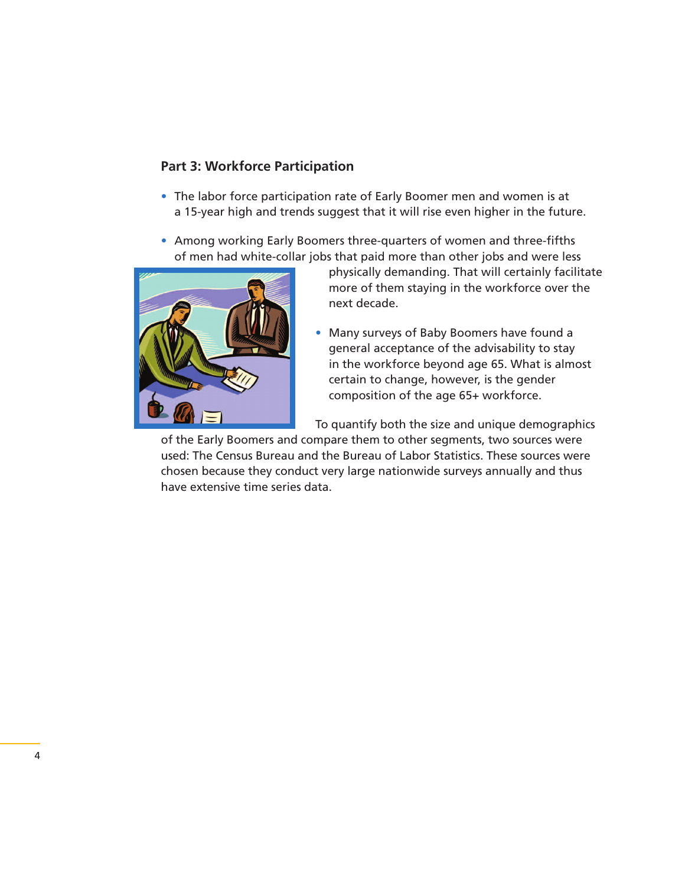#### **Part 3: Workforce Participation**

- **•** The labor force participation rate of Early Boomer men and women is at a 15-year high and trends suggest that it will rise even higher in the future.
- **•** Among working Early Boomers three-quarters of women and three-fifths of men had white-collar jobs that paid more than other jobs and were less



physically demanding. That will certainly facilitate more of them staying in the workforce over the next decade.

**•** Many surveys of Baby Boomers have found a general acceptance of the advisability to stay in the workforce beyond age 65. What is almost certain to change, however, is the gender composition of the age 65+ workforce.

To quantify both the size and unique demographics

of the Early Boomers and compare them to other segments, two sources were used: The Census Bureau and the Bureau of Labor Statistics. These sources were chosen because they conduct very large nationwide surveys annually and thus have extensive time series data.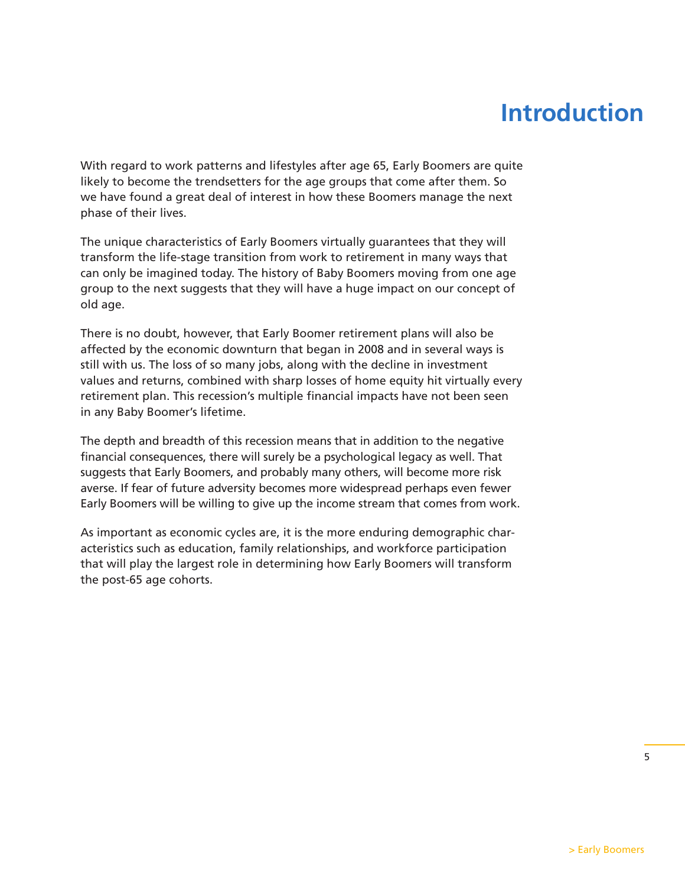## **Introduction**

With regard to work patterns and lifestyles after age 65, Early Boomers are quite likely to become the trendsetters for the age groups that come after them. So we have found a great deal of interest in how these Boomers manage the next phase of their lives.

The unique characteristics of Early Boomers virtually guarantees that they will transform the life-stage transition from work to retirement in many ways that can only be imagined today. The history of Baby Boomers moving from one age group to the next suggests that they will have a huge impact on our concept of old age.

There is no doubt, however, that Early Boomer retirement plans will also be affected by the economic downturn that began in 2008 and in several ways is still with us. The loss of so many jobs, along with the decline in investment values and returns, combined with sharp losses of home equity hit virtually every retirement plan. This recession's multiple financial impacts have not been seen in any Baby Boomer's lifetime.

The depth and breadth of this recession means that in addition to the negative financial consequences, there will surely be a psychological legacy as well. That suggests that Early Boomers, and probably many others, will become more risk averse. If fear of future adversity becomes more widespread perhaps even fewer Early Boomers will be willing to give up the income stream that comes from work.

As important as economic cycles are, it is the more enduring demographic characteristics such as education, family relationships, and workforce participation that will play the largest role in determining how Early Boomers will transform the post-65 age cohorts.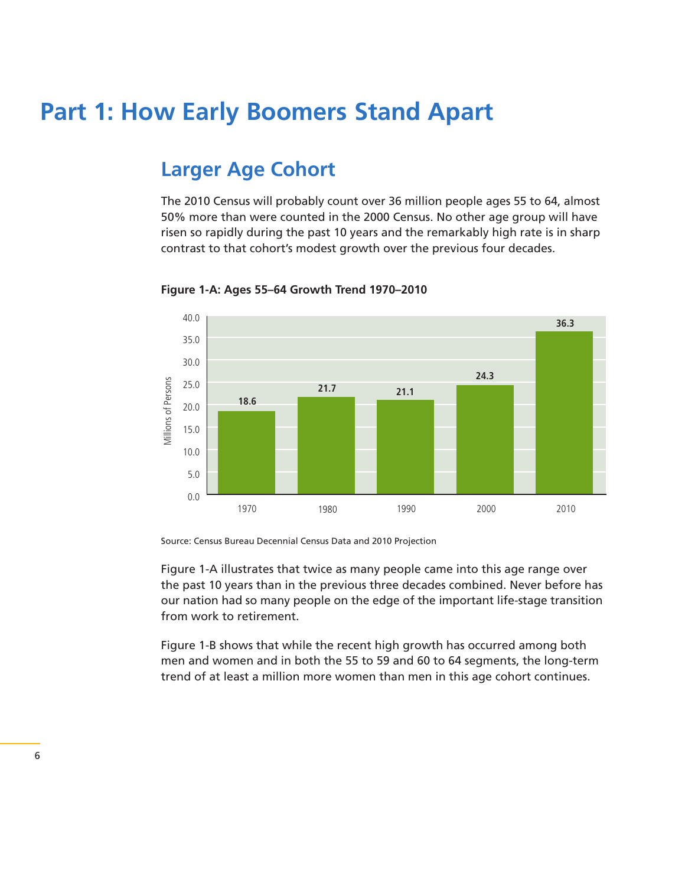## **Part 1: How Early Boomers Stand Apart**

### **Larger Age Cohort**

The 2010 Census will probably count over 36 million people ages 55 to 64, almost 50% more than were counted in the 2000 Census. No other age group will have risen so rapidly during the past 10 years and the remarkably high rate is in sharp contrast to that cohort's modest growth over the previous four decades.



**Figure 1-A: Ages 55–64 Growth Trend 1970–2010**

Source: Census Bureau Decennial Census Data and 2010 Projection

Figure 1-A illustrates that twice as many people came into this age range over the past 10 years than in the previous three decades combined. Never before has our nation had so many people on the edge of the important life-stage transition from work to retirement.

Figure 1-B shows that while the recent high growth has occurred among both men and women and in both the 55 to 59 and 60 to 64 segments, the long-term trend of at least a million more women than men in this age cohort continues.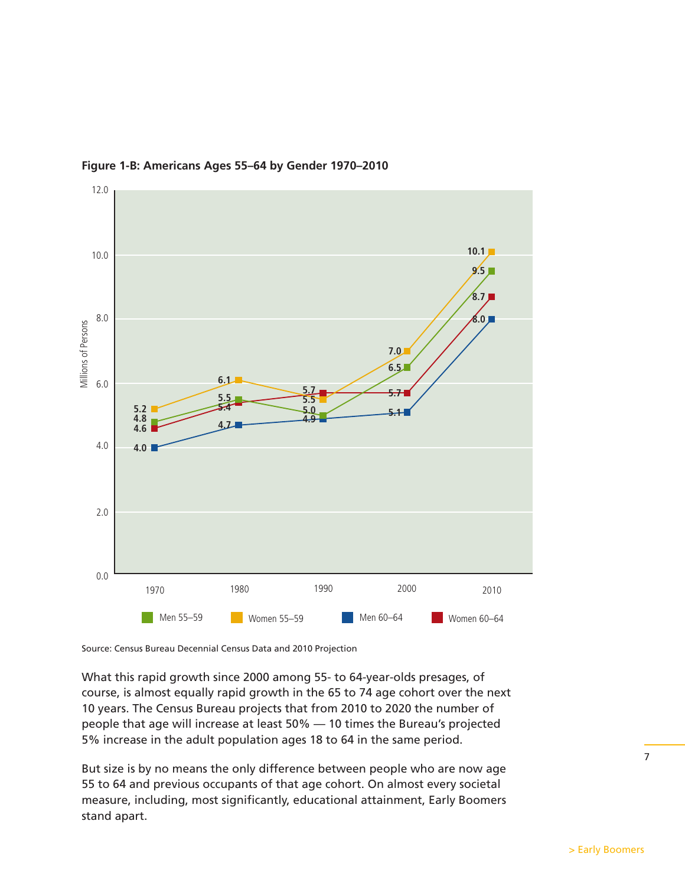



Source: Census Bureau Decennial Census Data and 2010 Projection

What this rapid growth since 2000 among 55- to 64-year-olds presages, of course, is almost equally rapid growth in the 65 to 74 age cohort over the next 10 years. The Census Bureau projects that from 2010 to 2020 the number of people that age will increase at least 50% — 10 times the Bureau's projected 5% increase in the adult population ages 18 to 64 in the same period.

But size is by no means the only difference between people who are now age 55 to 64 and previous occupants of that age cohort. On almost every societal measure, including, most significantly, educational attainment, Early Boomers stand apart.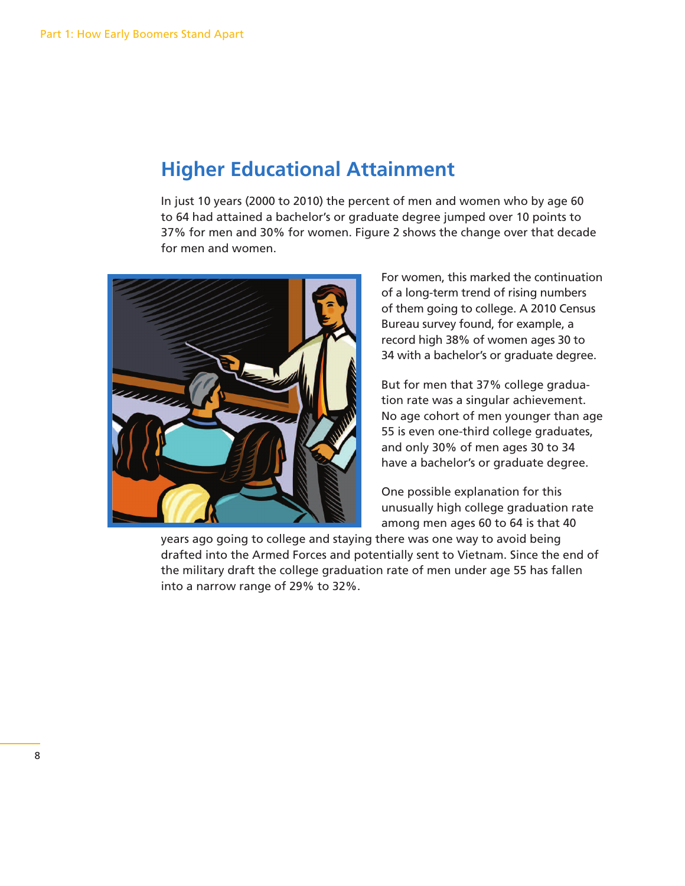## **Higher Educational Attainment**

In just 10 years (2000 to 2010) the percent of men and women who by age 60 to 64 had attained a bachelor's or graduate degree jumped over 10 points to 37% for men and 30% for women. Figure 2 shows the change over that decade for men and women.



For women, this marked the continuation of a long-term trend of rising numbers of them going to college. A 2010 Census Bureau survey found, for example, a record high 38% of women ages 30 to 34 with a bachelor's or graduate degree.

But for men that 37% college graduation rate was a singular achievement. No age cohort of men younger than age 55 is even one-third college graduates, and only 30% of men ages 30 to 34 have a bachelor's or graduate degree.

One possible explanation for this unusually high college graduation rate among men ages 60 to 64 is that 40

years ago going to college and staying there was one way to avoid being drafted into the Armed Forces and potentially sent to Vietnam. Since the end of the military draft the college graduation rate of men under age 55 has fallen into a narrow range of 29% to 32%.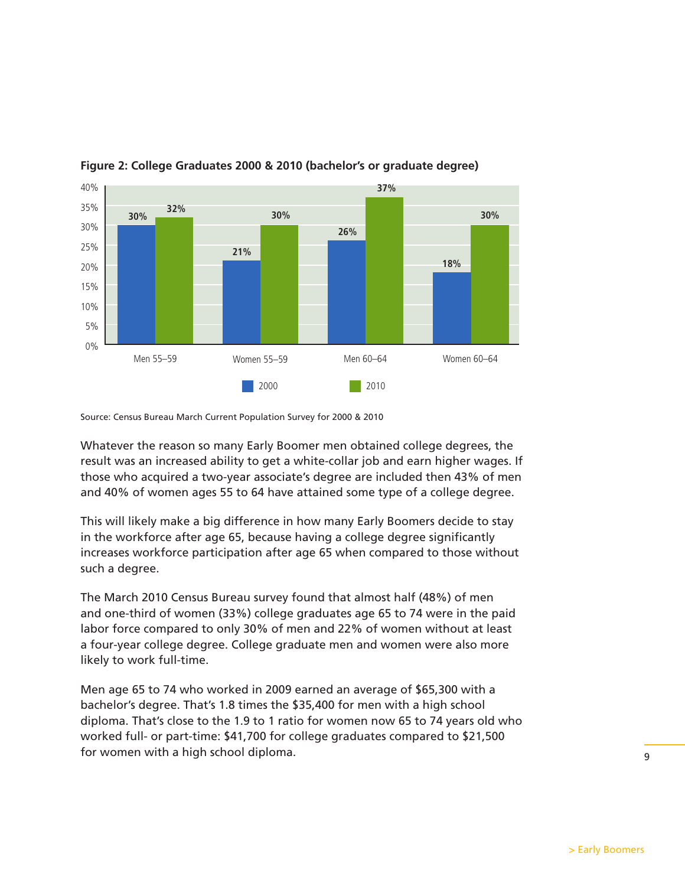

#### **Figure 2: College Graduates 2000 & 2010 (bachelor's or graduate degree)**

Source: Census Bureau March Current Population Survey for 2000 & 2010

Whatever the reason so many Early Boomer men obtained college degrees, the result was an increased ability to get a white-collar job and earn higher wages. If those who acquired a two-year associate's degree are included then 43% of men and 40% of women ages 55 to 64 have attained some type of a college degree.

This will likely make a big difference in how many Early Boomers decide to stay in the workforce after age 65, because having a college degree significantly increases workforce participation after age 65 when compared to those without such a degree.

The March 2010 Census Bureau survey found that almost half (48%) of men and one-third of women (33%) college graduates age 65 to 74 were in the paid labor force compared to only 30% of men and 22% of women without at least a four-year college degree. College graduate men and women were also more likely to work full-time.

Men age 65 to 74 who worked in 2009 earned an average of \$65,300 with a bachelor's degree. That's 1.8 times the \$35,400 for men with a high school diploma. That's close to the 1.9 to 1 ratio for women now 65 to 74 years old who worked full- or part-time: \$41,700 for college graduates compared to \$21,500 for women with a high school diploma.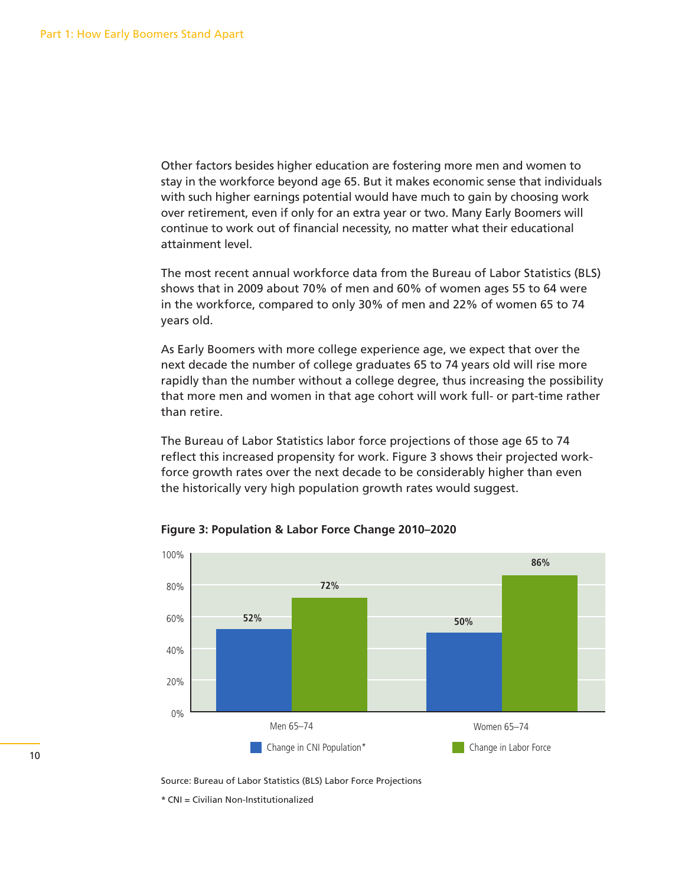Other factors besides higher education are fostering more men and women to stay in the workforce beyond age 65. But it makes economic sense that individuals with such higher earnings potential would have much to gain by choosing work over retirement, even if only for an extra year or two. Many Early Boomers will continue to work out of financial necessity, no matter what their educational attainment level.

The most recent annual workforce data from the Bureau of Labor Statistics (BLS) shows that in 2009 about 70% of men and 60% of women ages 55 to 64 were in the workforce, compared to only 30% of men and 22% of women 65 to 74 years old.

As Early Boomers with more college experience age, we expect that over the next decade the number of college graduates 65 to 74 years old will rise more rapidly than the number without a college degree, thus increasing the possibility that more men and women in that age cohort will work full- or part-time rather than retire.

The Bureau of Labor Statistics labor force projections of those age 65 to 74 reflect this increased propensity for work. Figure 3 shows their projected workforce growth rates over the next decade to be considerably higher than even the historically very high population growth rates would suggest.



**Figure 3: Population & Labor Force Change 2010–2020**

Source: Bureau of Labor Statistics (BLS) Labor Force Projections

\* CNI = Civilian Non-Institutionalized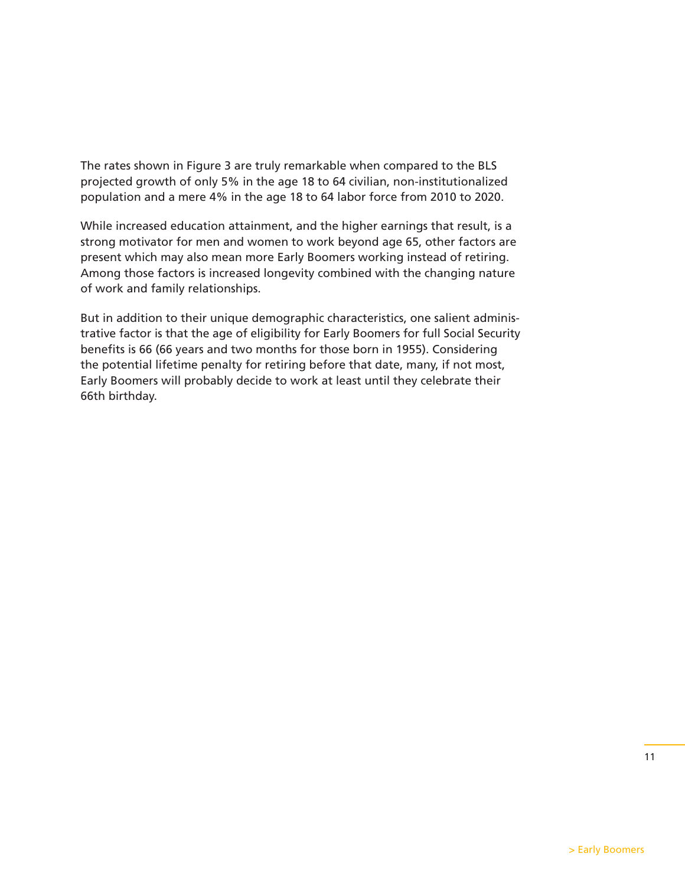The rates shown in Figure 3 are truly remarkable when compared to the BLS projected growth of only 5% in the age 18 to 64 civilian, non-institutionalized population and a mere 4% in the age 18 to 64 labor force from 2010 to 2020.

While increased education attainment, and the higher earnings that result, is a strong motivator for men and women to work beyond age 65, other factors are present which may also mean more Early Boomers working instead of retiring. Among those factors is increased longevity combined with the changing nature of work and family relationships.

But in addition to their unique demographic characteristics, one salient administrative factor is that the age of eligibility for Early Boomers for full Social Security benefits is 66 (66 years and two months for those born in 1955). Considering the potential lifetime penalty for retiring before that date, many, if not most, Early Boomers will probably decide to work at least until they celebrate their 66th birthday.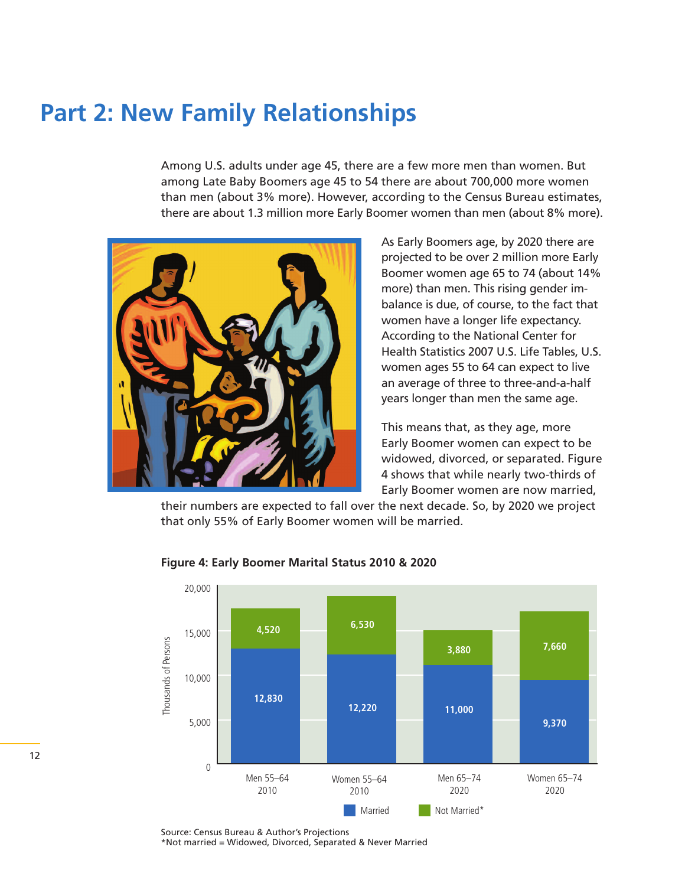## **Part 2: New Family Relationships**

Among U.S. adults under age 45, there are a few more men than women. But among Late Baby Boomers age 45 to 54 there are about 700,000 more women than men (about 3% more). However, according to the Census Bureau estimates, there are about 1.3 million more Early Boomer women than men (about 8% more).



As Early Boomers age, by 2020 there are projected to be over 2 million more Early Boomer women age 65 to 74 (about 14% more) than men. This rising gender imbalance is due, of course, to the fact that women have a longer life expectancy. According to the National Center for Health Statistics 2007 U.S. Life Tables, U.S. women ages 55 to 64 can expect to live an average of three to three-and-a-half years longer than men the same age.

This means that, as they age, more Early Boomer women can expect to be widowed, divorced, or separated. Figure 4 shows that while nearly two-thirds of Early Boomer women are now married,

their numbers are expected to fall over the next decade. So, by 2020 we project that only 55% of Early Boomer women will be married.



#### **Figure 4: Early Boomer Marital Status 2010 & 2020**

Source: Census Bureau & Author's Projections \*Not married = Widowed, Divorced, Separated & Never Married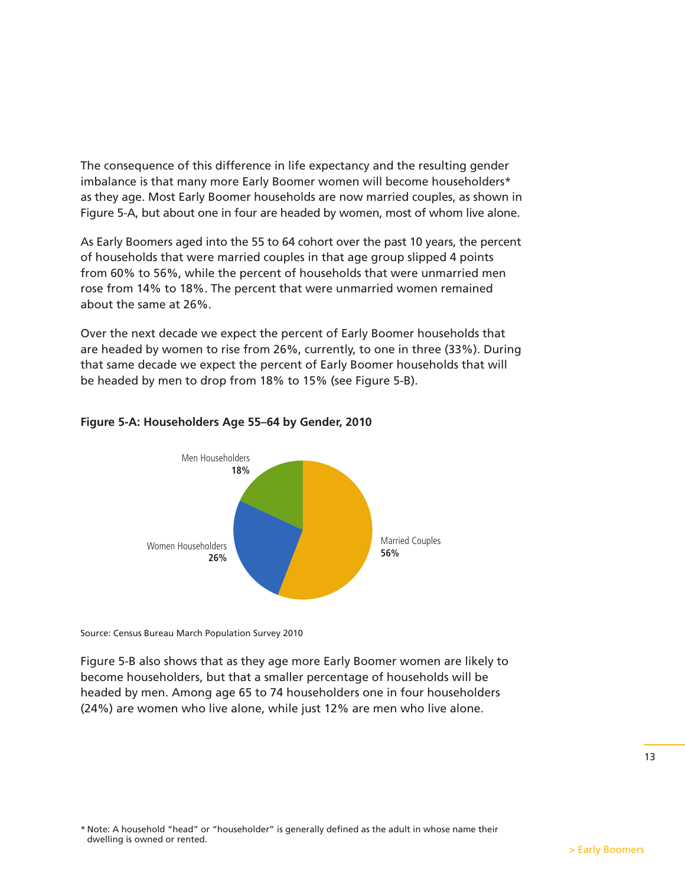The consequence of this difference in life expectancy and the resulting gender imbalance is that many more Early Boomer women will become householders\* as they age. Most Early Boomer households are now married couples, as shown in Figure 5-A, but about one in four are headed by women, most of whom live alone.

As Early Boomers aged into the 55 to 64 cohort over the past 10 years, the percent of households that were married couples in that age group slipped 4 points from 60% to 56%, while the percent of households that were unmarried men rose from 14% to 18%. The percent that were unmarried women remained about the same at 26%.

Over the next decade we expect the percent of Early Boomer households that are headed by women to rise from 26%, currently, to one in three (33%). During that same decade we expect the percent of Early Boomer households that will be headed by men to drop from 18% to 15% (see Figure 5-B).



#### **Figure 5-A: Householders Age 55–64 by Gender, 2010**

Source: Census Bureau March Population Survey 2010

Figure 5-B also shows that as they age more Early Boomer women are likely to become householders, but that a smaller percentage of households will be headed by men. Among age 65 to 74 householders one in four householders (24%) are women who live alone, while just 12% are men who live alone.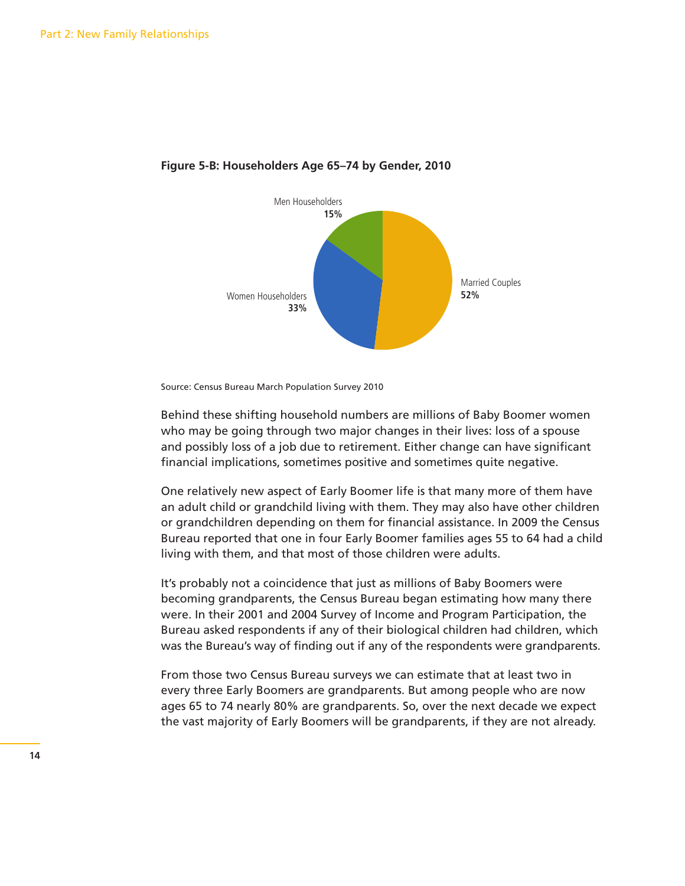

#### **Figure 5-B: Householders Age 65–74 by Gender, 2010**

Source: Census Bureau March Population Survey 2010

Behind these shifting household numbers are millions of Baby Boomer women who may be going through two major changes in their lives: loss of a spouse and possibly loss of a job due to retirement. Either change can have significant financial implications, sometimes positive and sometimes quite negative.

One relatively new aspect of Early Boomer life is that many more of them have an adult child or grandchild living with them. They may also have other children or grandchildren depending on them for financial assistance. In 2009 the Census Bureau reported that one in four Early Boomer families ages 55 to 64 had a child living with them, and that most of those children were adults.

It's probably not a coincidence that just as millions of Baby Boomers were becoming grandparents, the Census Bureau began estimating how many there were. In their 2001 and 2004 Survey of Income and Program Participation, the Bureau asked respondents if any of their biological children had children, which was the Bureau's way of finding out if any of the respondents were grandparents.

From those two Census Bureau surveys we can estimate that at least two in every three Early Boomers are grandparents. But among people who are now ages 65 to 74 nearly 80% are grandparents. So, over the next decade we expect the vast majority of Early Boomers will be grandparents, if they are not already.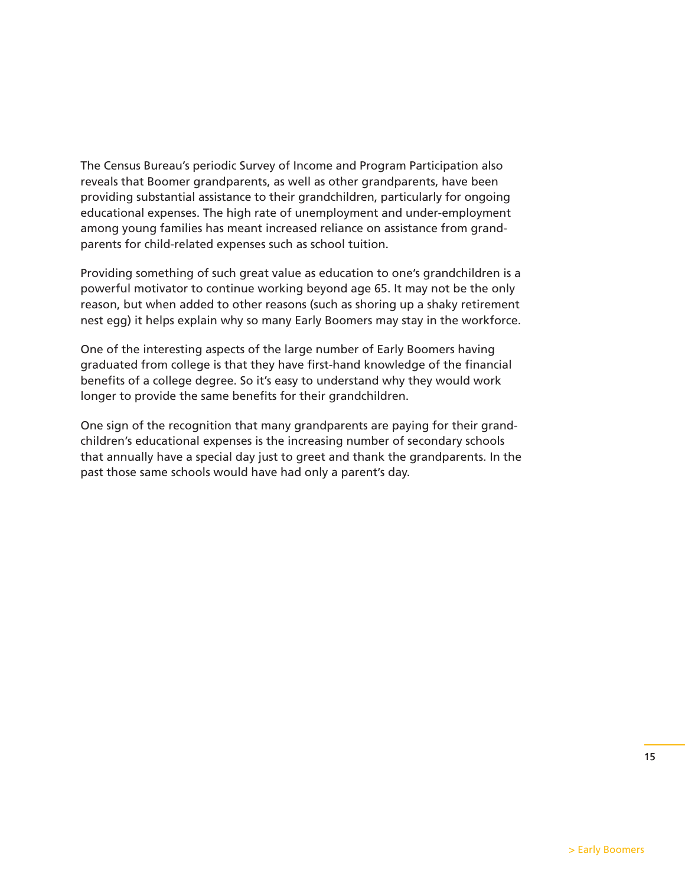The Census Bureau's periodic Survey of Income and Program Participation also reveals that Boomer grandparents, as well as other grandparents, have been providing substantial assistance to their grandchildren, particularly for ongoing educational expenses. The high rate of unemployment and under-employment among young families has meant increased reliance on assistance from grandparents for child-related expenses such as school tuition.

Providing something of such great value as education to one's grandchildren is a powerful motivator to continue working beyond age 65. It may not be the only reason, but when added to other reasons (such as shoring up a shaky retirement nest egg) it helps explain why so many Early Boomers may stay in the workforce.

One of the interesting aspects of the large number of Early Boomers having graduated from college is that they have first-hand knowledge of the financial benefits of a college degree. So it's easy to understand why they would work longer to provide the same benefits for their grandchildren.

One sign of the recognition that many grandparents are paying for their grandchildren's educational expenses is the increasing number of secondary schools that annually have a special day just to greet and thank the grandparents. In the past those same schools would have had only a parent's day.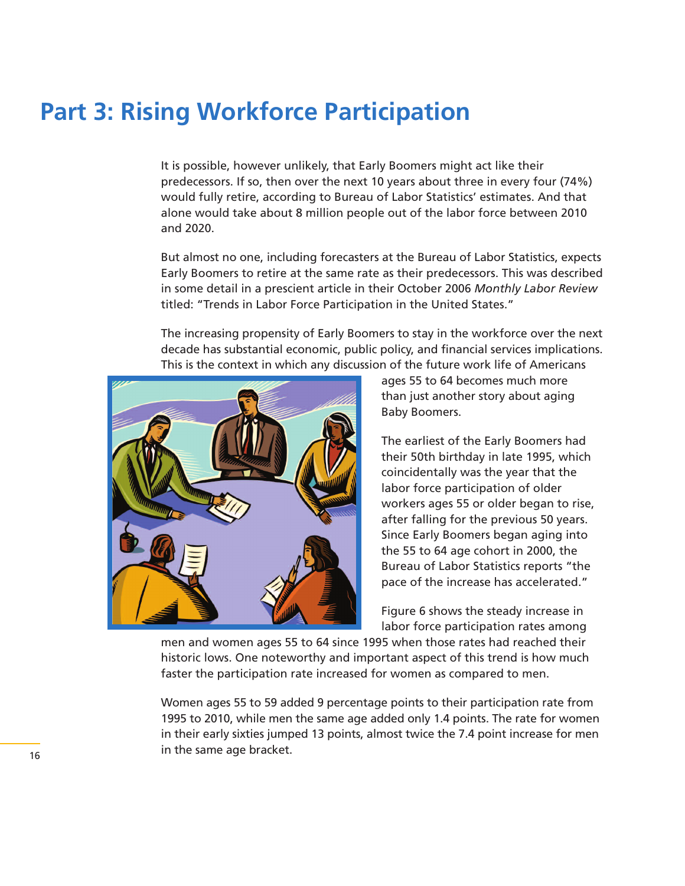## **Part 3: Rising Workforce Participation**

It is possible, however unlikely, that Early Boomers might act like their predecessors. If so, then over the next 10 years about three in every four (74%) would fully retire, according to Bureau of Labor Statistics' estimates. And that alone would take about 8 million people out of the labor force between 2010 and 2020.

But almost no one, including forecasters at the Bureau of Labor Statistics, expects Early Boomers to retire at the same rate as their predecessors. This was described in some detail in a prescient article in their October 2006 *Monthly Labor Review* titled: "Trends in Labor Force Participation in the United States."

The increasing propensity of Early Boomers to stay in the workforce over the next decade has substantial economic, public policy, and financial services implications. This is the context in which any discussion of the future work life of Americans



ages 55 to 64 becomes much more than just another story about aging Baby Boomers.

The earliest of the Early Boomers had their 50th birthday in late 1995, which coincidentally was the year that the labor force participation of older workers ages 55 or older began to rise, after falling for the previous 50 years. Since Early Boomers began aging into the 55 to 64 age cohort in 2000, the Bureau of Labor Statistics reports "the pace of the increase has accelerated."

Figure 6 shows the steady increase in labor force participation rates among

men and women ages 55 to 64 since 1995 when those rates had reached their historic lows. One noteworthy and important aspect of this trend is how much faster the participation rate increased for women as compared to men.

Women ages 55 to 59 added 9 percentage points to their participation rate from 1995 to 2010, while men the same age added only 1.4 points. The rate for women in their early sixties jumped 13 points, almost twice the 7.4 point increase for men in the same age bracket.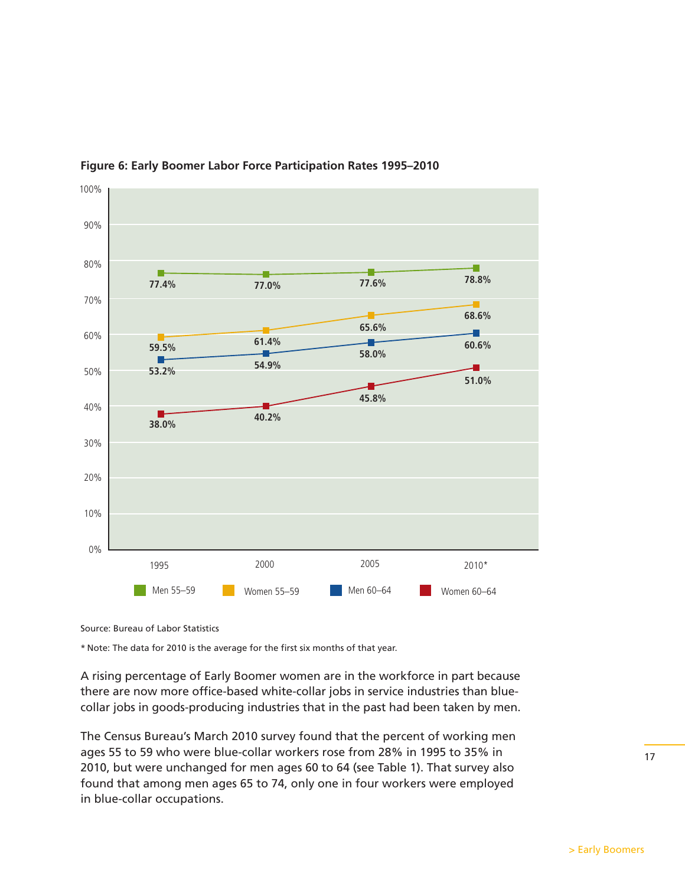

**Figure 6: Early Boomer Labor Force Participation Rates 1995–2010**

Source: Bureau of Labor Statistics

\* Note: The data for 2010 is the average for the first six months of that year.

A rising percentage of Early Boomer women are in the workforce in part because there are now more office-based white-collar jobs in service industries than bluecollar jobs in goods-producing industries that in the past had been taken by men.

The Census Bureau's March 2010 survey found that the percent of working men ages 55 to 59 who were blue-collar workers rose from 28% in 1995 to 35% in 2010, but were unchanged for men ages 60 to 64 (see Table 1). That survey also found that among men ages 65 to 74, only one in four workers were employed in blue-collar occupations.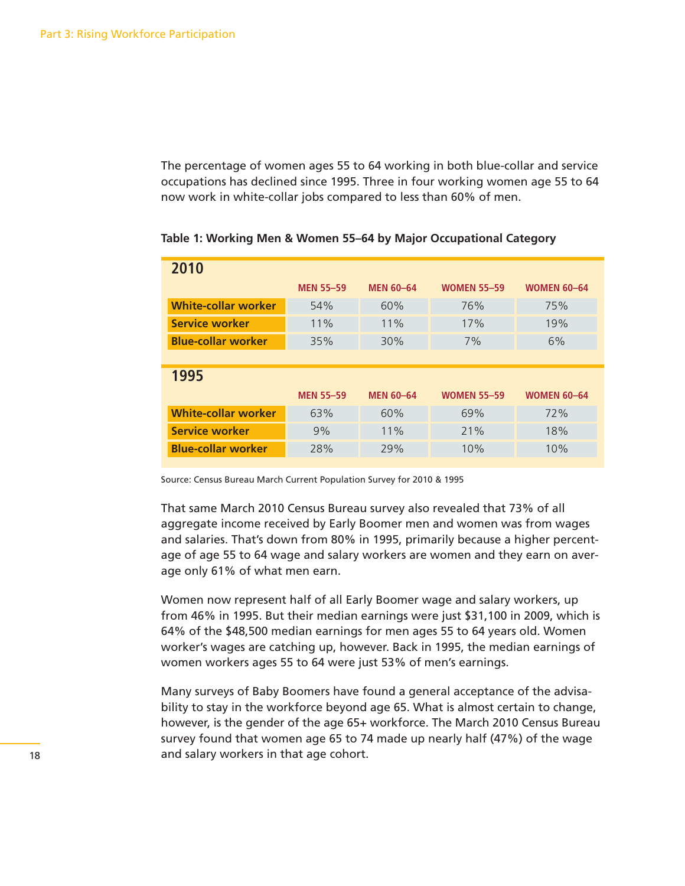The percentage of women ages 55 to 64 working in both blue-collar and service occupations has declined since 1995. Three in four working women age 55 to 64 now work in white-collar jobs compared to less than 60% of men.

| 2010                       |                  |                  |                    |                    |  |  |
|----------------------------|------------------|------------------|--------------------|--------------------|--|--|
|                            | <b>MEN 55-59</b> | <b>MEN 60-64</b> | <b>WOMEN 55-59</b> | <b>WOMEN 60-64</b> |  |  |
| <b>White-collar worker</b> | 54%              | 60%              | 76%                | 75%                |  |  |
| Service worker             | 11%              | 11%              | 17%                | 19%                |  |  |
| <b>Blue-collar worker</b>  | 35%              | 30%              | 7%                 | 6%                 |  |  |
|                            |                  |                  |                    |                    |  |  |
| 1995                       |                  |                  |                    |                    |  |  |
|                            |                  |                  |                    |                    |  |  |
|                            | <b>MEN 55-59</b> | <b>MEN 60-64</b> | <b>WOMEN 55-59</b> | <b>WOMEN 60-64</b> |  |  |
| <b>White-collar worker</b> | 63%              | 60%              | 69%                | 72%                |  |  |
| Service worker             | 9%               | 11%              | 21%                | 18%                |  |  |

**Table 1: Working Men & Women 55–64 by Major Occupational Category**

Source: Census Bureau March Current Population Survey for 2010 & 1995

That same March 2010 Census Bureau survey also revealed that 73% of all aggregate income received by Early Boomer men and women was from wages and salaries. That's down from 80% in 1995, primarily because a higher percentage of age 55 to 64 wage and salary workers are women and they earn on average only 61% of what men earn.

Women now represent half of all Early Boomer wage and salary workers, up from 46% in 1995. But their median earnings were just \$31,100 in 2009, which is 64% of the \$48,500 median earnings for men ages 55 to 64 years old. Women worker's wages are catching up, however. Back in 1995, the median earnings of women workers ages 55 to 64 were just 53% of men's earnings.

Many surveys of Baby Boomers have found a general acceptance of the advisability to stay in the workforce beyond age 65. What is almost certain to change, however, is the gender of the age 65+ workforce. The March 2010 Census Bureau survey found that women age 65 to 74 made up nearly half (47%) of the wage and salary workers in that age cohort.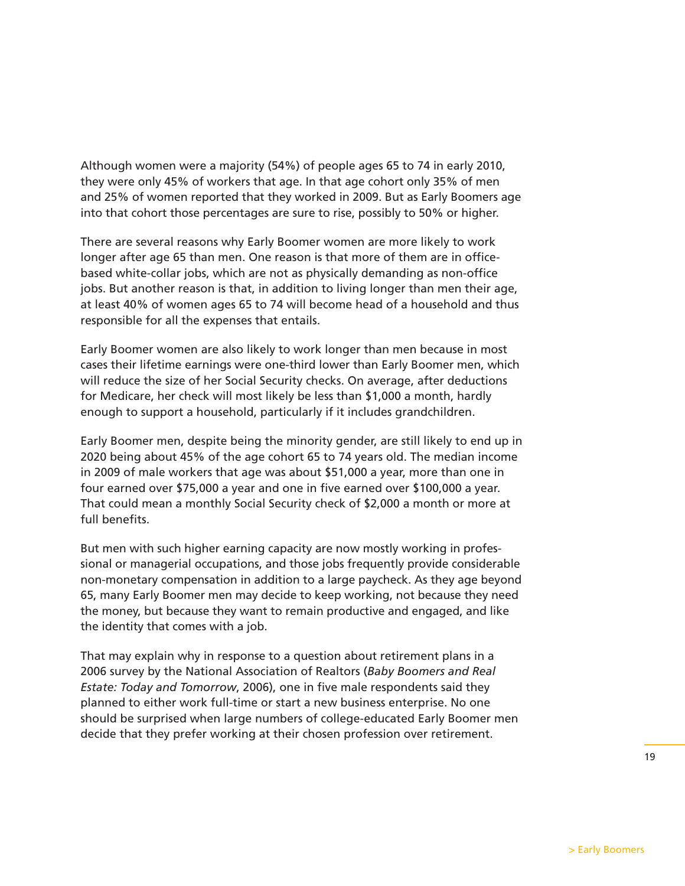Although women were a majority (54%) of people ages 65 to 74 in early 2010, they were only 45% of workers that age. In that age cohort only 35% of men and 25% of women reported that they worked in 2009. But as Early Boomers age into that cohort those percentages are sure to rise, possibly to 50% or higher.

There are several reasons why Early Boomer women are more likely to work longer after age 65 than men. One reason is that more of them are in officebased white-collar jobs, which are not as physically demanding as non-office jobs. But another reason is that, in addition to living longer than men their age, at least 40% of women ages 65 to 74 will become head of a household and thus responsible for all the expenses that entails.

Early Boomer women are also likely to work longer than men because in most cases their lifetime earnings were one-third lower than Early Boomer men, which will reduce the size of her Social Security checks. On average, after deductions for Medicare, her check will most likely be less than \$1,000 a month, hardly enough to support a household, particularly if it includes grandchildren.

Early Boomer men, despite being the minority gender, are still likely to end up in 2020 being about 45% of the age cohort 65 to 74 years old. The median income in 2009 of male workers that age was about \$51,000 a year, more than one in four earned over \$75,000 a year and one in five earned over \$100,000 a year. That could mean a monthly Social Security check of \$2,000 a month or more at full benefits.

But men with such higher earning capacity are now mostly working in professional or managerial occupations, and those jobs frequently provide considerable non-monetary compensation in addition to a large paycheck. As they age beyond 65, many Early Boomer men may decide to keep working, not because they need the money, but because they want to remain productive and engaged, and like the identity that comes with a job.

That may explain why in response to a question about retirement plans in a 2006 survey by the National Association of Realtors (*Baby Boomers and Real Estate: Today and Tomorrow*, 2006), one in five male respondents said they planned to either work full-time or start a new business enterprise. No one should be surprised when large numbers of college-educated Early Boomer men decide that they prefer working at their chosen profession over retirement.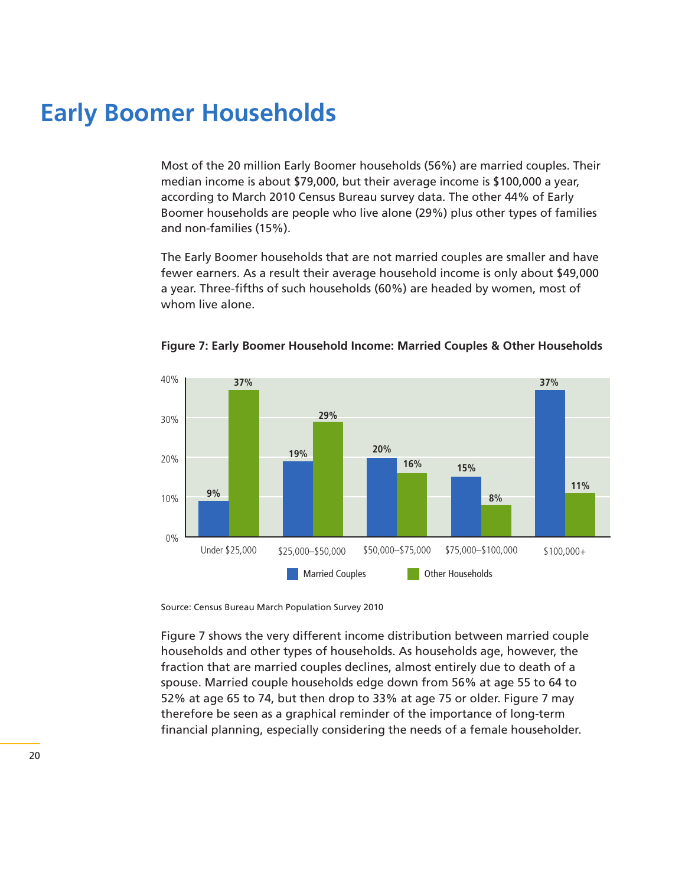## **Early Boomer Households**

Most of the 20 million Early Boomer households (56%) are married couples. Their median income is about \$79,000, but their average income is \$100,000 a year, according to March 2010 Census Bureau survey data. The other 44% of Early Boomer households are people who live alone (29%) plus other types of families and non-families (15%).

The Early Boomer households that are not married couples are smaller and have fewer earners. As a result their average household income is only about \$49,000 a year. Three-fifths of such households (60%) are headed by women, most of whom live alone.



**Figure 7: Early Boomer Household Income: Married Couples & Other Households**

Source: Census Bureau March Population Survey 2010

Figure 7 shows the very different income distribution between married couple households and other types of households. As households age, however, the fraction that are married couples declines, almost entirely due to death of a spouse. Married couple households edge down from 56% at age 55 to 64 to 52% at age 65 to 74, but then drop to 33% at age 75 or older. Figure 7 may therefore be seen as a graphical reminder of the importance of long-term financial planning, especially considering the needs of a female householder.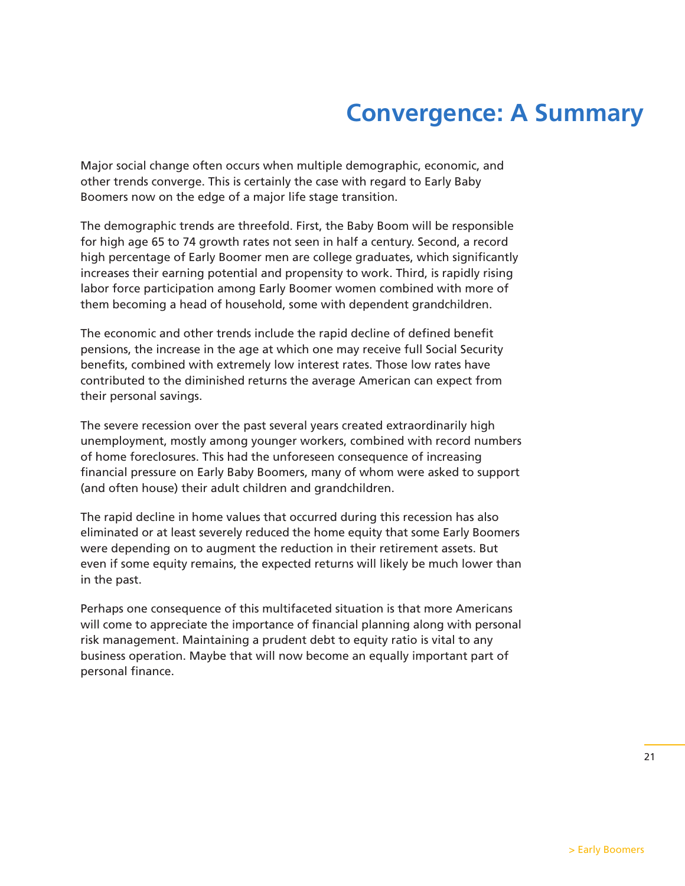## **Convergence: A Summary**

Major social change often occurs when multiple demographic, economic, and other trends converge. This is certainly the case with regard to Early Baby Boomers now on the edge of a major life stage transition.

The demographic trends are threefold. First, the Baby Boom will be responsible for high age 65 to 74 growth rates not seen in half a century. Second, a record high percentage of Early Boomer men are college graduates, which significantly increases their earning potential and propensity to work. Third, is rapidly rising labor force participation among Early Boomer women combined with more of them becoming a head of household, some with dependent grandchildren.

The economic and other trends include the rapid decline of defined benefit pensions, the increase in the age at which one may receive full Social Security benefits, combined with extremely low interest rates. Those low rates have contributed to the diminished returns the average American can expect from their personal savings.

The severe recession over the past several years created extraordinarily high unemployment, mostly among younger workers, combined with record numbers of home foreclosures. This had the unforeseen consequence of increasing financial pressure on Early Baby Boomers, many of whom were asked to support (and often house) their adult children and grandchildren.

The rapid decline in home values that occurred during this recession has also eliminated or at least severely reduced the home equity that some Early Boomers were depending on to augment the reduction in their retirement assets. But even if some equity remains, the expected returns will likely be much lower than in the past.

Perhaps one consequence of this multifaceted situation is that more Americans will come to appreciate the importance of financial planning along with personal risk management. Maintaining a prudent debt to equity ratio is vital to any business operation. Maybe that will now become an equally important part of personal finance.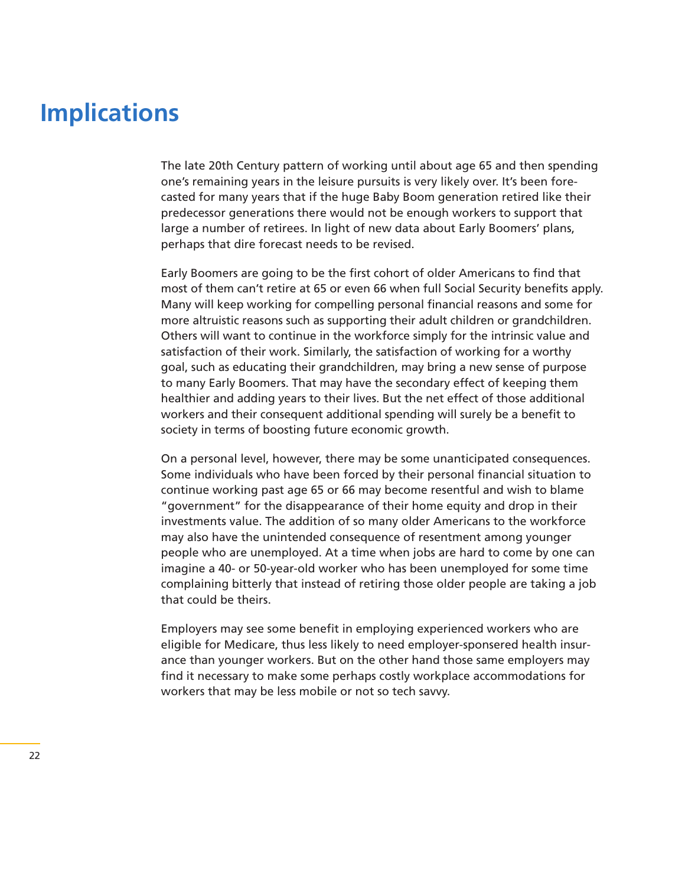## **Implications**

The late 20th Century pattern of working until about age 65 and then spending one's remaining years in the leisure pursuits is very likely over. It's been forecasted for many years that if the huge Baby Boom generation retired like their predecessor generations there would not be enough workers to support that large a number of retirees. In light of new data about Early Boomers' plans, perhaps that dire forecast needs to be revised.

Early Boomers are going to be the first cohort of older Americans to find that most of them can't retire at 65 or even 66 when full Social Security benefits apply. Many will keep working for compelling personal financial reasons and some for more altruistic reasons such as supporting their adult children or grandchildren. Others will want to continue in the workforce simply for the intrinsic value and satisfaction of their work. Similarly, the satisfaction of working for a worthy goal, such as educating their grandchildren, may bring a new sense of purpose to many Early Boomers. That may have the secondary effect of keeping them healthier and adding years to their lives. But the net effect of those additional workers and their consequent additional spending will surely be a benefit to society in terms of boosting future economic growth.

On a personal level, however, there may be some unanticipated consequences. Some individuals who have been forced by their personal financial situation to continue working past age 65 or 66 may become resentful and wish to blame "government" for the disappearance of their home equity and drop in their investments value. The addition of so many older Americans to the workforce may also have the unintended consequence of resentment among younger people who are unemployed. At a time when jobs are hard to come by one can imagine a 40- or 50-year-old worker who has been unemployed for some time complaining bitterly that instead of retiring those older people are taking a job that could be theirs.

Employers may see some benefit in employing experienced workers who are eligible for Medicare, thus less likely to need employer-sponsered health insurance than younger workers. But on the other hand those same employers may find it necessary to make some perhaps costly workplace accommodations for workers that may be less mobile or not so tech savvy.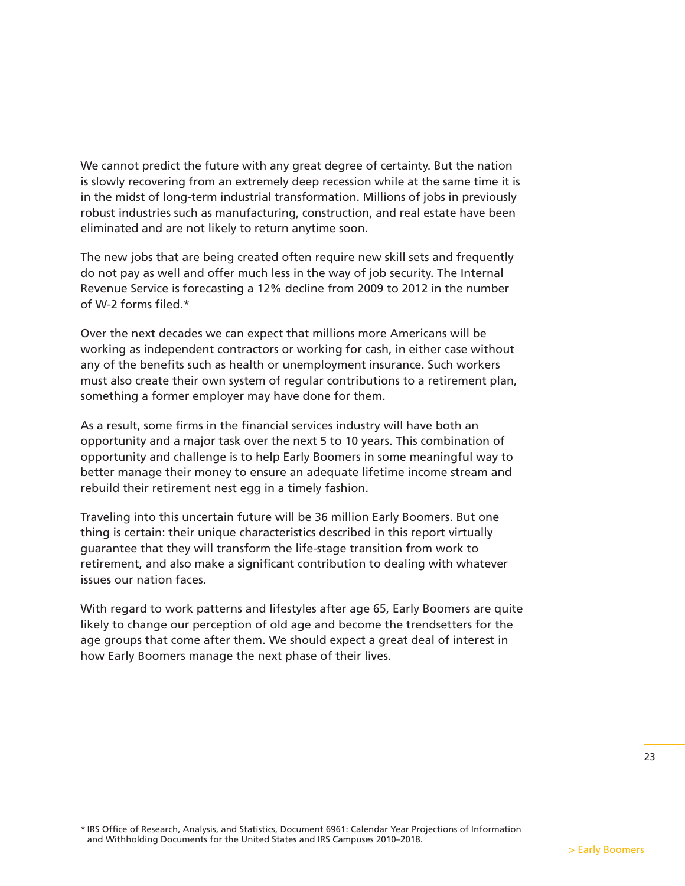We cannot predict the future with any great degree of certainty. But the nation is slowly recovering from an extremely deep recession while at the same time it is in the midst of long-term industrial transformation. Millions of jobs in previously robust industries such as manufacturing, construction, and real estate have been eliminated and are not likely to return anytime soon.

The new jobs that are being created often require new skill sets and frequently do not pay as well and offer much less in the way of job security. The Internal Revenue Service is forecasting a 12% decline from 2009 to 2012 in the number of W-2 forms filed.\*

Over the next decades we can expect that millions more Americans will be working as independent contractors or working for cash, in either case without any of the benefits such as health or unemployment insurance. Such workers must also create their own system of regular contributions to a retirement plan, something a former employer may have done for them.

As a result, some firms in the financial services industry will have both an opportunity and a major task over the next 5 to 10 years. This combination of opportunity and challenge is to help Early Boomers in some meaningful way to better manage their money to ensure an adequate lifetime income stream and rebuild their retirement nest egg in a timely fashion.

Traveling into this uncertain future will be 36 million Early Boomers. But one thing is certain: their unique characteristics described in this report virtually guarantee that they will transform the life-stage transition from work to retirement, and also make a significant contribution to dealing with whatever issues our nation faces.

With regard to work patterns and lifestyles after age 65, Early Boomers are quite likely to change our perception of old age and become the trendsetters for the age groups that come after them. We should expect a great deal of interest in how Early Boomers manage the next phase of their lives.